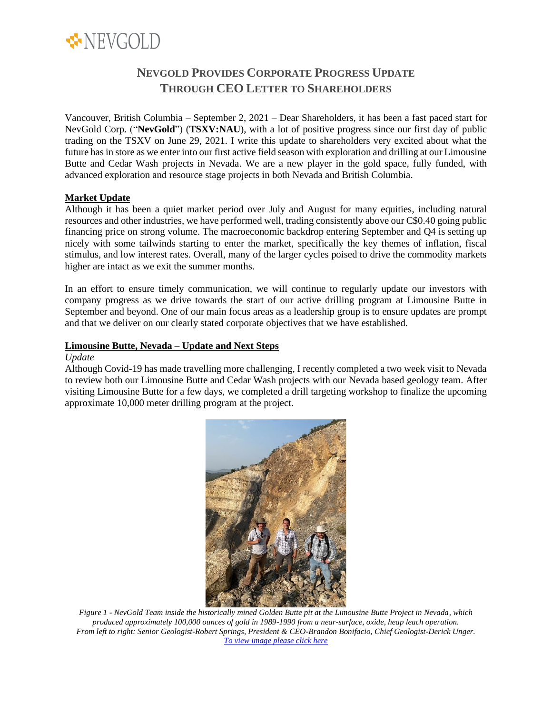

# **NEVGOLD PROVIDES CORPORATE PROGRESS UPDATE THROUGH CEO LETTER TO SHAREHOLDERS**

Vancouver, British Columbia – September 2, 2021 – Dear Shareholders, it has been a fast paced start for NevGold Corp. ("**NevGold**") (**TSXV:NAU**), with a lot of positive progress since our first day of public trading on the TSXV on June 29, 2021. I write this update to shareholders very excited about what the future has in store as we enter into our first active field season with exploration and drilling at our Limousine Butte and Cedar Wash projects in Nevada. We are a new player in the gold space, fully funded, with advanced exploration and resource stage projects in both Nevada and British Columbia.

## **Market Update**

Although it has been a quiet market period over July and August for many equities, including natural resources and other industries, we have performed well, trading consistently above our C\$0.40 going public financing price on strong volume. The macroeconomic backdrop entering September and Q4 is setting up nicely with some tailwinds starting to enter the market, specifically the key themes of inflation, fiscal stimulus, and low interest rates. Overall, many of the larger cycles poised to drive the commodity markets higher are intact as we exit the summer months.

In an effort to ensure timely communication, we will continue to regularly update our investors with company progress as we drive towards the start of our active drilling program at Limousine Butte in September and beyond. One of our main focus areas as a leadership group is to ensure updates are prompt and that we deliver on our clearly stated corporate objectives that we have established.

#### **Limousine Butte, Nevada – Update and Next Steps**

#### *Update*

Although Covid-19 has made travelling more challenging, I recently completed a two week visit to Nevada to review both our Limousine Butte and Cedar Wash projects with our Nevada based geology team. After visiting Limousine Butte for a few days, we completed a drill targeting workshop to finalize the upcoming approximate 10,000 meter drilling program at the project.



*Figure 1 - NevGold Team inside the historically mined Golden Butte pit at the Limousine Butte Project in Nevada, which produced approximately 100,000 ounces of gold in 1989-1990 from a near-surface, oxide, heap leach operation. From left to right: Senior Geologist-Robert Springs, President & CEO-Brandon Bonifacio, Chief Geologist-Derick Unger. [To view image please click here](https://nev-gold.com/site/assets/files/7068/sept-1-2021-nev-picture1.png)*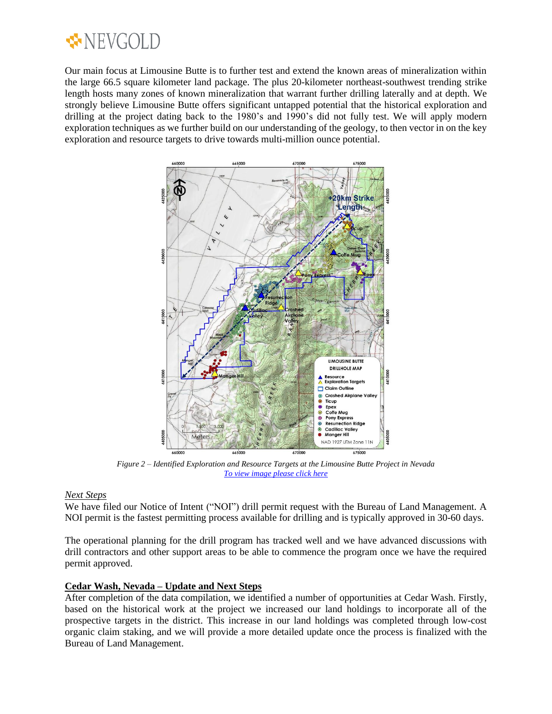

Our main focus at Limousine Butte is to further test and extend the known areas of mineralization within the large 66.5 square kilometer land package. The plus 20-kilometer northeast-southwest trending strike length hosts many zones of known mineralization that warrant further drilling laterally and at depth. We strongly believe Limousine Butte offers significant untapped potential that the historical exploration and drilling at the project dating back to the 1980's and 1990's did not fully test. We will apply modern exploration techniques as we further build on our understanding of the geology, to then vector in on the key exploration and resource targets to drive towards multi-million ounce potential.



*Figure 2 – Identified Exploration and Resource Targets at the Limousine Butte Project in Nevada [To view image please click here](https://nev-gold.com/site/assets/files/7153/sept-1-2021-nev-picture2.png)*

#### *Next Steps*

We have filed our Notice of Intent ("NOI") drill permit request with the Bureau of Land Management. A NOI permit is the fastest permitting process available for drilling and is typically approved in 30-60 days.

The operational planning for the drill program has tracked well and we have advanced discussions with drill contractors and other support areas to be able to commence the program once we have the required permit approved.

#### **Cedar Wash, Nevada – Update and Next Steps**

After completion of the data compilation, we identified a number of opportunities at Cedar Wash. Firstly, based on the historical work at the project we increased our land holdings to incorporate all of the prospective targets in the district. This increase in our land holdings was completed through low-cost organic claim staking, and we will provide a more detailed update once the process is finalized with the Bureau of Land Management.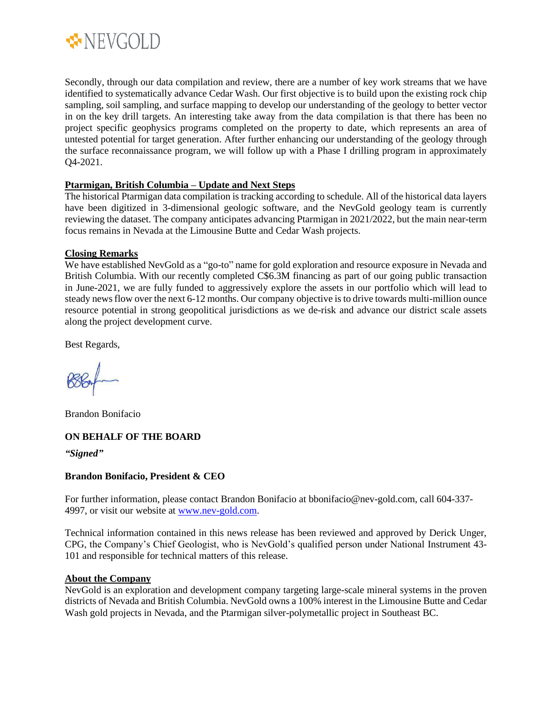

Secondly, through our data compilation and review, there are a number of key work streams that we have identified to systematically advance Cedar Wash. Our first objective is to build upon the existing rock chip sampling, soil sampling, and surface mapping to develop our understanding of the geology to better vector in on the key drill targets. An interesting take away from the data compilation is that there has been no project specific geophysics programs completed on the property to date, which represents an area of untested potential for target generation. After further enhancing our understanding of the geology through the surface reconnaissance program, we will follow up with a Phase I drilling program in approximately Q4-2021.

## **Ptarmigan, British Columbia – Update and Next Steps**

The historical Ptarmigan data compilation is tracking according to schedule. All of the historical data layers have been digitized in 3-dimensional geologic software, and the NevGold geology team is currently reviewing the dataset. The company anticipates advancing Ptarmigan in 2021/2022, but the main near-term focus remains in Nevada at the Limousine Butte and Cedar Wash projects.

## **Closing Remarks**

We have established NevGold as a "go-to" name for gold exploration and resource exposure in Nevada and British Columbia. With our recently completed C\$6.3M financing as part of our going public transaction in June-2021, we are fully funded to aggressively explore the assets in our portfolio which will lead to steady news flow over the next 6-12 months. Our company objective isto drive towards multi-million ounce resource potential in strong geopolitical jurisdictions as we de-risk and advance our district scale assets along the project development curve.

Best Regards,

Brandon Bonifacio

## **ON BEHALF OF THE BOARD**

*"Signed"*

## **Brandon Bonifacio, President & CEO**

For further information, please contact Brandon Bonifacio at bbonifacio@nev-gold.com, call 604-337- 4997, or visit our website at [www.nev-gold.com.](http://www.nev-gold.com/)

Technical information contained in this news release has been reviewed and approved by Derick Unger, CPG, the Company's Chief Geologist, who is NevGold's qualified person under National Instrument 43- 101 and responsible for technical matters of this release.

## **About the Company**

NevGold is an exploration and development company targeting large-scale mineral systems in the proven districts of Nevada and British Columbia. NevGold owns a 100% interest in the Limousine Butte and Cedar Wash gold projects in Nevada, and the Ptarmigan silver-polymetallic project in Southeast BC.